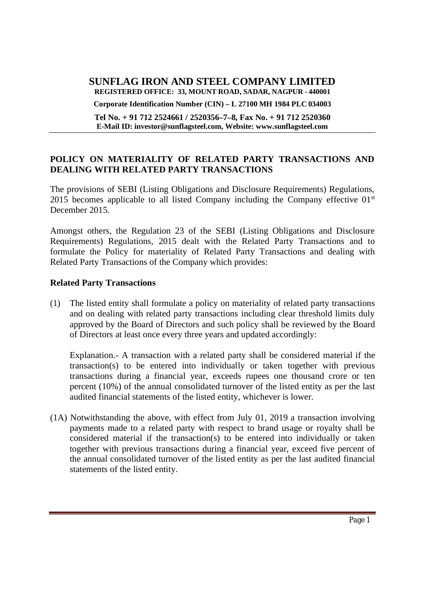#### **SUNFLAG IRON AND STEEL COMPANY LIMITED REGISTERED OFFICE: 33, MOUNT ROAD, SADAR, NAGPUR - 440001**

**Corporate Identification Number (CIN) – L 27100 MH 1984 PLC 034003**

**Tel No. + 91 712 2524661 / 2520356–7–8, Fax No. + 91 712 2520360 E-Mail ID: investor@sunflagsteel.com, Website: www.sunflagsteel.com**

### **POLICY ON MATERIALITY OF RELATED PARTY TRANSACTIONS AND DEALING WITH RELATED PARTY TRANSACTIONS**

The provisions of SEBI (Listing Obligations and Disclosure Requirements) Regulations, 2015 becomes applicable to all listed Company including the Company effective  $01<sup>st</sup>$ December 2015.

Amongst others, the Regulation 23 of the SEBI (Listing Obligations and Disclosure Requirements) Regulations, 2015 dealt with the Related Party Transactions and to formulate the Policy for materiality of Related Party Transactions and dealing with Related Party Transactions of the Company which provides:

### **Related Party Transactions**

(1) The listed entity shall formulate a policy on materiality of related party transactions and on dealing with related party transactions including clear threshold limits duly approved by the Board of Directors and such policy shall be reviewed by the Board of Directors at least once every three years and updated accordingly:

Explanation.- A transaction with a related party shall be considered material if the transaction(s) to be entered into individually or taken together with previous transactions during a financial year, exceeds rupees one thousand crore or ten percent (10%) of the annual consolidated turnover of the listed entity as per the last audited financial statements of the listed entity, whichever is lower.

(1A) Notwithstanding the above, with effect from July 01, 2019 a transaction involving payments made to a related party with respect to brand usage or royalty shall be considered material if the transaction(s) to be entered into individually or taken together with previous transactions during a financial year, exceed five percent of the annual consolidated turnover of the listed entity as per the last audited financial statements of the listed entity.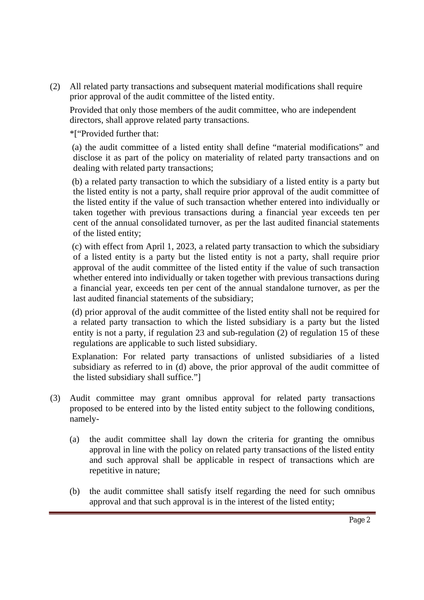(2) All related party transactions and subsequent material modifications shall require prior approval of the audit committee of the listed entity.

Provided that only those members of the audit committee, who are independent directors, shall approve related party transactions.

\*["Provided further that:

(a) the audit committee of a listed entity shall define "material modifications" and disclose it as part of the policy on materiality of related party transactions and on dealing with related party transactions;

(b) a related party transaction to which the subsidiary of a listed entity is a party but the listed entity is not a party, shall require prior approval of the audit committee of the listed entity if the value of such transaction whether entered into individually or taken together with previous transactions during a financial year exceeds ten per cent of the annual consolidated turnover, as per the last audited financial statements of the listed entity;

(c) with effect from April 1, 2023, a related party transaction to which the subsidiary of a listed entity is a party but the listed entity is not a party, shall require prior approval of the audit committee of the listed entity if the value of such transaction whether entered into individually or taken together with previous transactions during a financial year, exceeds ten per cent of the annual standalone turnover, as per the last audited financial statements of the subsidiary;

(d) prior approval of the audit committee of the listed entity shall not be required for a related party transaction to which the listed subsidiary is a party but the listed entity is not a party, if regulation 23 and sub-regulation (2) of regulation 15 of these regulations are applicable to such listed subsidiary.

Explanation: For related party transactions of unlisted subsidiaries of a listed subsidiary as referred to in (d) above, the prior approval of the audit committee of the listed subsidiary shall suffice."]

- (3) Audit committee may grant omnibus approval for related party transactions proposed to be entered into by the listed entity subject to the following conditions, namely-
	- (a) the audit committee shall lay down the criteria for granting the omnibus approval in line with the policy on related party transactions of the listed entity and such approval shall be applicable in respect of transactions which are repetitive in nature;
	- (b) the audit committee shall satisfy itself regarding the need for such omnibus approval and that such approval is in the interest of the listed entity;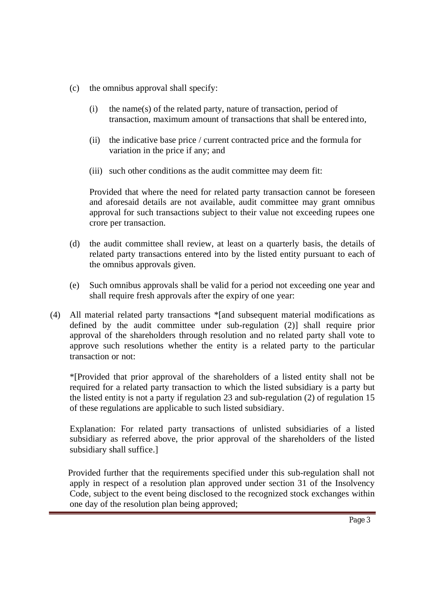- (c) the omnibus approval shall specify:
	- (i) the name(s) of the related party, nature of transaction, period of transaction, maximum amount of transactions that shall be entered into,
	- (ii) the indicative base price / current contracted price and the formula for variation in the price if any; and
	- (iii) such other conditions as the audit committee may deem fit:

Provided that where the need for related party transaction cannot be foreseen and aforesaid details are not available, audit committee may grant omnibus approval for such transactions subject to their value not exceeding rupees one crore per transaction.

- (d) the audit committee shall review, at least on a quarterly basis, the details of related party transactions entered into by the listed entity pursuant to each of the omnibus approvals given.
- (e) Such omnibus approvals shall be valid for a period not exceeding one year and shall require fresh approvals after the expiry of one year:
- (4) All material related party transactions \*[and subsequent material modifications as defined by the audit committee under sub-regulation (2)] shall require prior approval of the shareholders through resolution and no related party shall vote to approve such resolutions whether the entity is a related party to the particular transaction or not:

\*[Provided that prior approval of the shareholders of a listed entity shall not be required for a related party transaction to which the listed subsidiary is a party but the listed entity is not a party if regulation 23 and sub-regulation (2) of regulation 15 of these regulations are applicable to such listed subsidiary.

Explanation: For related party transactions of unlisted subsidiaries of a listed subsidiary as referred above, the prior approval of the shareholders of the listed subsidiary shall suffice.]

Provided further that the requirements specified under this sub-regulation shall not apply in respect of a resolution plan approved under section 31 of the Insolvency Code, subject to the event being disclosed to the recognized stock exchanges within one day of the resolution plan being approved;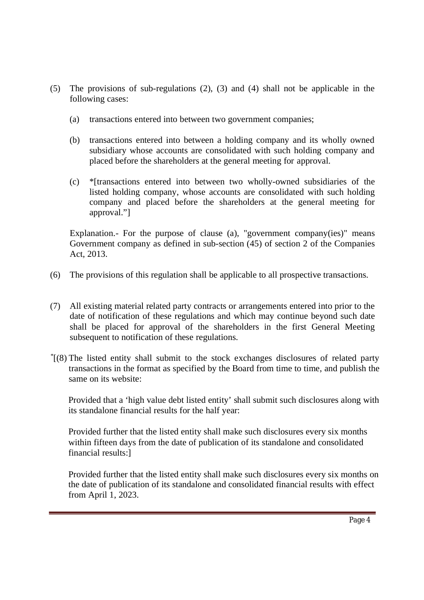- (5) The provisions of sub-regulations (2), (3) and (4) shall not be applicable in the following cases:
	- (a) transactions entered into between two government companies;
	- (b) transactions entered into between a holding company and its wholly owned subsidiary whose accounts are consolidated with such holding company and placed before the shareholders at the general meeting for approval.
	- (c) \*[transactions entered into between two wholly-owned subsidiaries of the listed holding company, whose accounts are consolidated with such holding company and placed before the shareholders at the general meeting for approval."]

Explanation.- For the purpose of clause (a), "government company(ies)" means Government company as defined in sub-section (45) of section 2 of the Companies Act, 2013.

- (6) The provisions of this regulation shall be applicable to all prospective transactions.
- (7) All existing material related party contracts or arrangements entered into prior to the date of notification of these regulations and which may continue beyond such date shall be placed for approval of the shareholders in the first General Meeting subsequent to notification of these regulations.
- \* [(8) The listed entity shall submit to the stock exchanges disclosures of related party transactions in the format as specified by the Board from time to time, and publish the same on its website:

Provided that a 'high value debt listed entity' shall submit such disclosures along with its standalone financial results for the half year:

Provided further that the listed entity shall make such disclosures every six months within fifteen days from the date of publication of its standalone and consolidated financial results:]

Provided further that the listed entity shall make such disclosures every six months on the date of publication of its standalone and consolidated financial results with effect from April 1, 2023.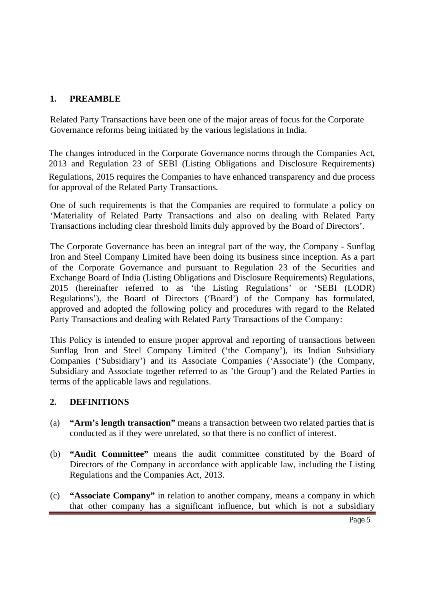# **1. PREAMBLE**

Related Party Transactions have been one of the major areas of focus for the Corporate Governance reforms being initiated by the various legislations in India.

The changes introduced in the Corporate Governance norms through the Companies Act, 2013 and Regulation 23 of SEBI (Listing Obligations and Disclosure Requirements) Regulations, 2015 requires the Companies to have enhanced transparency and due process for approval of the Related Party Transactions.

One of such requirements is that the Companies are required to formulate a policy on 'Materiality of Related Party Transactions and also on dealing with Related Party Transactions including clear threshold limits duly approved by the Board of Directors'.

The Corporate Governance has been an integral part of the way, the Company - Sunflag Iron and Steel Company Limited have been doing its business since inception. As a part of the Corporate Governance and pursuant to Regulation 23 of the Securities and Exchange Board of India (Listing Obligations and Disclosure Requirements) Regulations, 2015 (hereinafter referred to as 'the Listing Regulations' or 'SEBI (LODR) Regulations'), the Board of Directors ('Board') of the Company has formulated, approved and adopted the following policy and procedures with regard to the Related Party Transactions and dealing with Related Party Transactions of the Company:

This Policy is intended to ensure proper approval and reporting of transactions between Sunflag Iron and Steel Company Limited ('the Company'), its Indian Subsidiary Companies ('Subsidiary') and its Associate Companies ('Associate') (the Company, Subsidiary and Associate together referred to as 'the Group') and the Related Parties in terms of the applicable laws and regulations.

# **2. DEFINITIONS**

- (a) **"Arm's length transaction"** means a transaction between two related parties that is conducted as if they were unrelated, so that there is no conflict of interest.
- (b) **"Audit Committee"** means the audit committee constituted by the Board of Directors of the Company in accordance with applicable law, including the Listing Regulations and the Companies Act, 2013.
- (c) **"Associate Company"** in relation to another company, means a company in which that other company has a significant influence, but which is not a subsidiary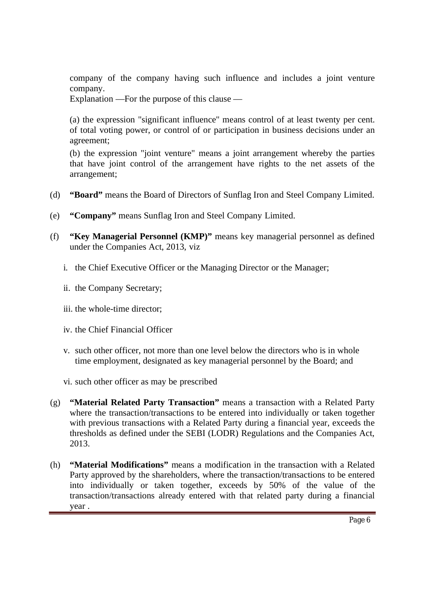company of the company having such influence and includes a joint venture company.

Explanation —For the purpose of this clause —

(a) the expression "significant influence" means control of at least twenty per cent. of total voting power, or control of or participation in business decisions under an agreement;

(b) the expression "joint venture" means a joint arrangement whereby the parties that have joint control of the arrangement have rights to the net assets of the arrangement;

- (d) **"Board"** means the Board of Directors of Sunflag Iron and Steel Company Limited.
- (e) **"Company"** means Sunflag Iron and Steel Company Limited.
- (f) **"Key Managerial Personnel (KMP)"** means key managerial personnel as defined under the Companies Act, 2013, viz
	- i. the Chief Executive Officer or the Managing Director or the Manager;
	- ii. the Company Secretary;
	- iii. the whole-time director;
	- iv. the Chief Financial Officer
	- v. such other officer, not more than one level below the directors who is in whole time employment, designated as key managerial personnel by the Board; and
	- vi. such other officer as may be prescribed
- (g) **"Material Related Party Transaction"** means a transaction with a Related Party where the transaction/transactions to be entered into individually or taken together with previous transactions with a Related Party during a financial year, exceeds the thresholds as defined under the SEBI (LODR) Regulations and the Companies Act, 2013.
- (h) **"Material Modifications"** means a modification in the transaction with a Related Party approved by the shareholders, where the transaction/transactions to be entered into individually or taken together, exceeds by 50% of the value of the transaction/transactions already entered with that related party during a financial year .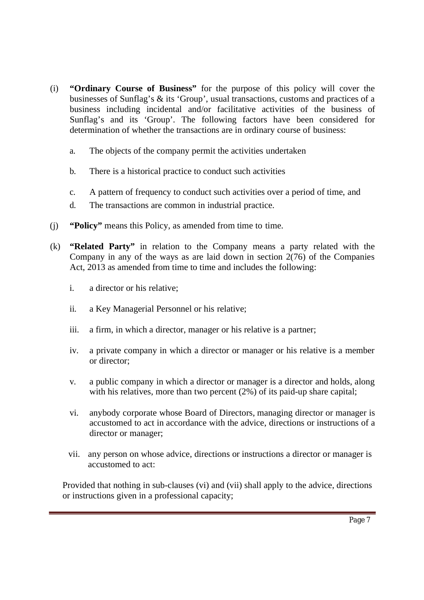- (i) **"Ordinary Course of Business"** for the purpose of this policy will cover the businesses of Sunflag's & its 'Group', usual transactions, customs and practices of a business including incidental and/or facilitative activities of the business of Sunflag's and its 'Group'. The following factors have been considered for determination of whether the transactions are in ordinary course of business:
	- a. The objects of the company permit the activities undertaken
	- b. There is a historical practice to conduct such activities
	- c. A pattern of frequency to conduct such activities over a period of time, and
	- d. The transactions are common in industrial practice.
- (j) **"Policy"** means this Policy, as amended from time to time.
- (k) **"Related Party"** in relation to the Company means a party related with the Company in any of the ways as are laid down in section  $2(76)$  of the Companies Act, 2013 as amended from time to time and includes the following:
	- i. a director or his relative;
	- ii. a Key Managerial Personnel or his relative;
	- iii. a firm, in which a director, manager or his relative is a partner;
	- iv. a private company in which a director or manager or his relative is a member or director;
	- v. a public company in which a director or manager is a director and holds, along with his relatives, more than two percent (2%) of its paid-up share capital;
	- vi. anybody corporate whose Board of Directors, managing director or manager is accustomed to act in accordance with the advice, directions or instructions of a director or manager;
	- vii. any person on whose advice, directions or instructions a director or manager is accustomed to act:

Provided that nothing in sub-clauses (vi) and (vii) shall apply to the advice, directions or instructions given in a professional capacity;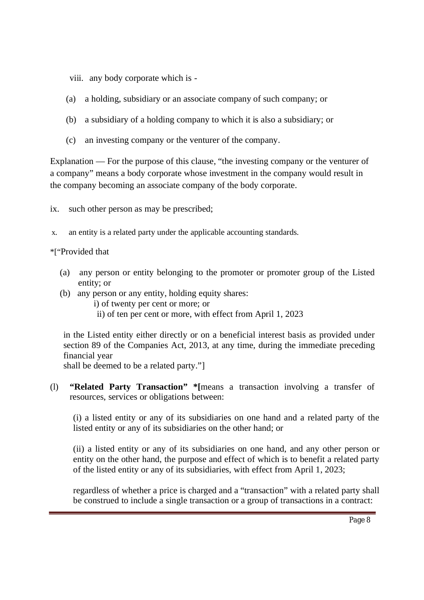viii. any body corporate which is -

- (a) a holding, subsidiary or an associate company of such company; or
- (b) a subsidiary of a holding company to which it is also a subsidiary; or
- (c) an investing company or the venturer of the company.

Explanation — For the purpose of this clause, "the investing company or the venturer of a company" means a body corporate whose investment in the company would result in the company becoming an associate company of the body corporate.

ix. such other person as may be prescribed;

x. an entity is a related party under the applicable accounting standards.

### \*["Provided that

- (a) any person or entity belonging to the promoter or promoter group of the Listed entity; or
- (b) any person or any entity, holding equity shares:
	- i) of twenty per cent or more; or
	- ii) of ten per cent or more, with effect from April 1, 2023

in the Listed entity either directly or on a beneficial interest basis as provided under section 89 of the Companies Act, 2013, at any time, during the immediate preceding financial year

shall be deemed to be a related party."]

(l) **"Related Party Transaction" \*[**means a transaction involving a transfer of resources, services or obligations between:

(i) a listed entity or any of its subsidiaries on one hand and a related party of the listed entity or any of its subsidiaries on the other hand; or

(ii) a listed entity or any of its subsidiaries on one hand, and any other person or entity on the other hand, the purpose and effect of which is to benefit a related party of the listed entity or any of its subsidiaries, with effect from April 1, 2023;

regardless of whether a price is charged and a "transaction" with a related party shall be construed to include a single transaction or a group of transactions in a contract: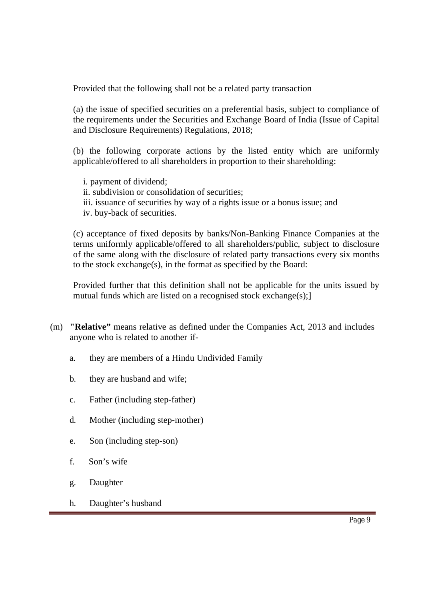Provided that the following shall not be a related party transaction

(a) the issue of specified securities on a preferential basis, subject to compliance of the requirements under the Securities and Exchange Board of India (Issue of Capital and Disclosure Requirements) Regulations, 2018;

(b) the following corporate actions by the listed entity which are uniformly applicable/offered to all shareholders in proportion to their shareholding:

- i. payment of dividend;
- ii. subdivision or consolidation of securities;
- iii. issuance of securities by way of a rights issue or a bonus issue; and
- iv. buy-back of securities.

(c) acceptance of fixed deposits by banks/Non-Banking Finance Companies at the terms uniformly applicable/offered to all shareholders/public, subject to disclosure of the same along with the disclosure of related party transactions every six months to the stock exchange(s), in the format as specified by the Board:

Provided further that this definition shall not be applicable for the units issued by mutual funds which are listed on a recognised stock exchange(s);

- (m) **"Relative"** means relative as defined under the Companies Act, 2013 and includes anyone who is related to another if
	- a. they are members of a Hindu Undivided Family
	- b. they are husband and wife;
	- c. Father (including step-father)
	- d. Mother (including step-mother)
	- e. Son (including step-son)
	- f. Son's wife
	- g. Daughter
	- h. Daughter's husband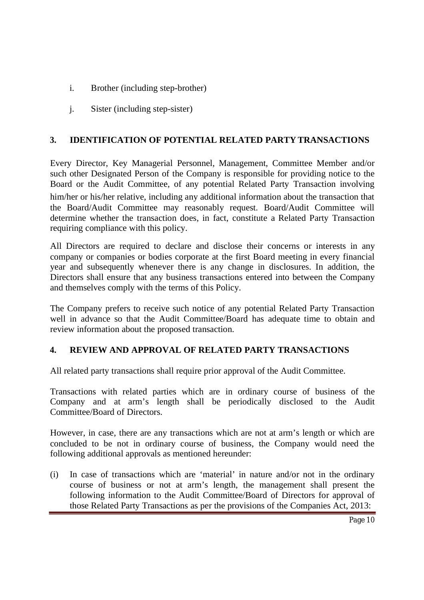- i. Brother (including step-brother)
- j. Sister (including step-sister)

## **3. IDENTIFICATION OF POTENTIAL RELATED PARTY TRANSACTIONS**

Every Director, Key Managerial Personnel, Management, Committee Member and/or such other Designated Person of the Company is responsible for providing notice to the Board or the Audit Committee, of any potential Related Party Transaction involving him/her or his/her relative, including any additional information about the transaction that the Board/Audit Committee may reasonably request. Board/Audit Committee will determine whether the transaction does, in fact, constitute a Related Party Transaction requiring compliance with this policy.

All Directors are required to declare and disclose their concerns or interests in any company or companies or bodies corporate at the first Board meeting in every financial year and subsequently whenever there is any change in disclosures. In addition, the Directors shall ensure that any business transactions entered into between the Company and themselves comply with the terms of this Policy.

The Company prefers to receive such notice of any potential Related Party Transaction well in advance so that the Audit Committee/Board has adequate time to obtain and review information about the proposed transaction.

### **4. REVIEW AND APPROVAL OF RELATED PARTY TRANSACTIONS**

All related party transactions shall require prior approval of the Audit Committee.

Transactions with related parties which are in ordinary course of business of the Company and at arm's length shall be periodically disclosed to the Audit Committee/Board of Directors.

However, in case, there are any transactions which are not at arm's length or which are concluded to be not in ordinary course of business, the Company would need the following additional approvals as mentioned hereunder:

(i) In case of transactions which are 'material' in nature and/or not in the ordinary course of business or not at arm's length, the management shall present the following information to the Audit Committee/Board of Directors for approval of those Related Party Transactions as per the provisions of the Companies Act, 2013: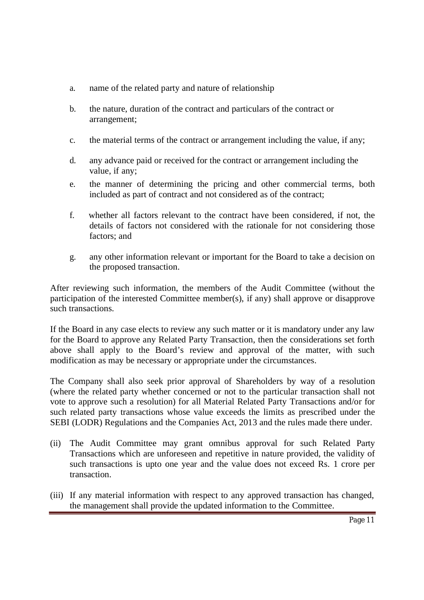- a. name of the related party and nature of relationship
- b. the nature, duration of the contract and particulars of the contract or arrangement;
- c. the material terms of the contract or arrangement including the value, if any;
- d. any advance paid or received for the contract or arrangement including the value, if any;
- e. the manner of determining the pricing and other commercial terms, both included as part of contract and not considered as of the contract;
- f. whether all factors relevant to the contract have been considered, if not, the details of factors not considered with the rationale for not considering those factors; and
- g. any other information relevant or important for the Board to take a decision on the proposed transaction.

After reviewing such information, the members of the Audit Committee (without the participation of the interested Committee member(s), if any) shall approve or disapprove such transactions.

If the Board in any case elects to review any such matter or it is mandatory under any law for the Board to approve any Related Party Transaction, then the considerations set forth above shall apply to the Board's review and approval of the matter, with such modification as may be necessary or appropriate under the circumstances.

The Company shall also seek prior approval of Shareholders by way of a resolution (where the related party whether concerned or not to the particular transaction shall not vote to approve such a resolution) for all Material Related Party Transactions and/or for such related party transactions whose value exceeds the limits as prescribed under the SEBI (LODR) Regulations and the Companies Act, 2013 and the rules made there under.

- (ii) The Audit Committee may grant omnibus approval for such Related Party Transactions which are unforeseen and repetitive in nature provided, the validity of such transactions is upto one year and the value does not exceed Rs. 1 crore per transaction.
- (iii) If any material information with respect to any approved transaction has changed, the management shall provide the updated information to the Committee.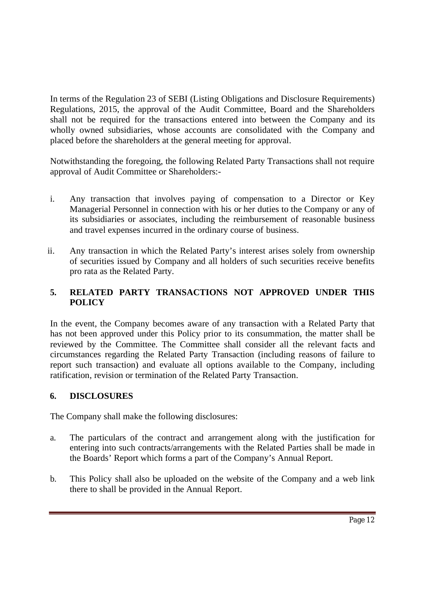In terms of the Regulation 23 of SEBI (Listing Obligations and Disclosure Requirements) Regulations, 2015, the approval of the Audit Committee, Board and the Shareholders shall not be required for the transactions entered into between the Company and its wholly owned subsidiaries, whose accounts are consolidated with the Company and placed before the shareholders at the general meeting for approval.

Notwithstanding the foregoing, the following Related Party Transactions shall not require approval of Audit Committee or Shareholders:-

- i. Any transaction that involves paying of compensation to a Director or Key Managerial Personnel in connection with his or her duties to the Company or any of its subsidiaries or associates, including the reimbursement of reasonable business and travel expenses incurred in the ordinary course of business.
- ii. Any transaction in which the Related Party's interest arises solely from ownership of securities issued by Company and all holders of such securities receive benefits pro rata as the Related Party.

## **5. RELATED PARTY TRANSACTIONS NOT APPROVED UNDER THIS POLICY**

In the event, the Company becomes aware of any transaction with a Related Party that has not been approved under this Policy prior to its consummation, the matter shall be reviewed by the Committee. The Committee shall consider all the relevant facts and circumstances regarding the Related Party Transaction (including reasons of failure to report such transaction) and evaluate all options available to the Company, including ratification, revision or termination of the Related Party Transaction.

# **6. DISCLOSURES**

The Company shall make the following disclosures:

- a. The particulars of the contract and arrangement along with the justification for entering into such contracts/arrangements with the Related Parties shall be made in the Boards' Report which forms a part of the Company's Annual Report.
- b. This Policy shall also be uploaded on the website of the Company and a web link there to shall be provided in the Annual Report.